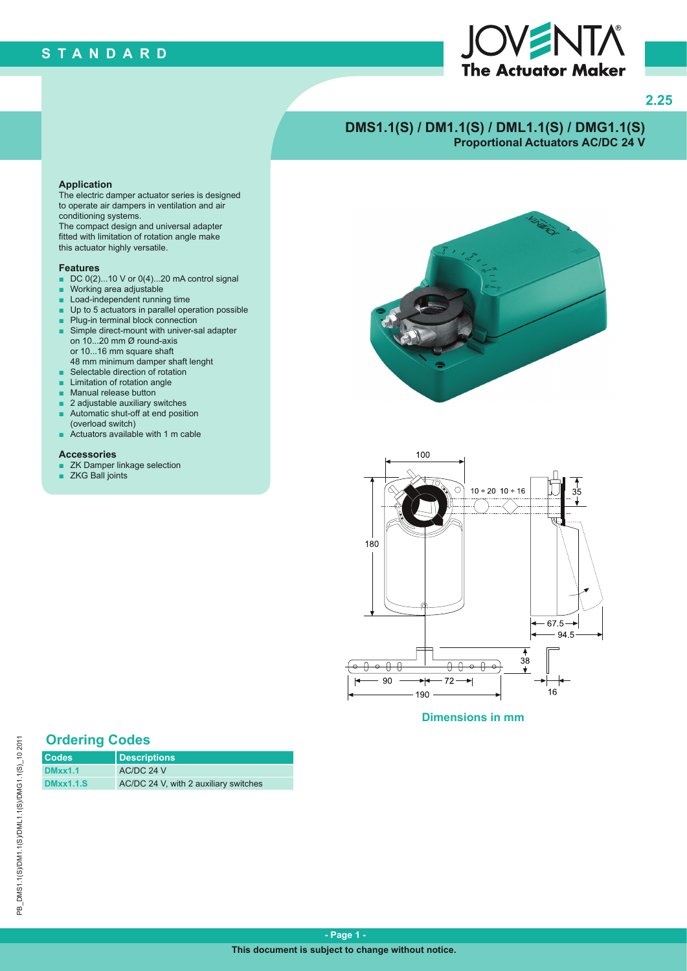# **STANDARD**



**2.25**

# **DMS1.1(S) / DM1.1(S) / DML1.1(S) / DMG1.1(S) Proportional Actuators AC/DC 24 V**

#### **Application**

The electric damper actuator series is designed to operate air dampers in ventilation and air conditioning systems.

The compact design and universal adapter fitted with limitation of rotation angle make this actuator highly versatile.

#### **Features**

- $\blacksquare$  DC 0(2)...10 V or 0(4)...20 mA control signal
- Working area adjustable
- Load-independent running time
- Up to 5 actuators in parallel operation possible
- Plug-in terminal block connection
- Simple direct-mount with univer-sal adapter on 10...20 mm Ø round-axis or 10...16 mm square shaft
- 48 mm minimum damper shaft lenght
- Selectable direction of rotation
- **Limitation of rotation angle**
- Manual release button
- 2 adjustable auxiliary switches
- Automatic shut-off at end position (overload switch)
- Actuators available with 1 m cable

#### **Accessories**

- ZK Damper linkage selection
- ZKG Ball joints





**Dimensions in mm**

## **Ordering Codes**

| <b>Codes</b>     | <b>Descriptions</b>                   |
|------------------|---------------------------------------|
| <b>DMxx1.1</b>   | AC/DC 24 V                            |
| <b>DMxx1.1.S</b> | AC/DC 24 V, with 2 auxiliary switches |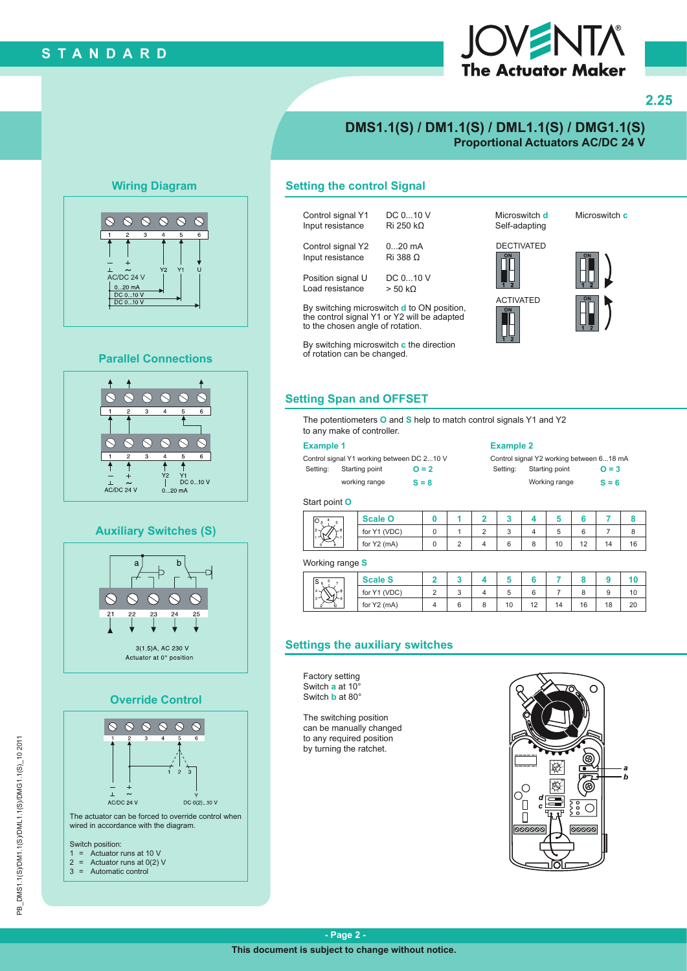# **STANDARD**



## **2.25**

## **DMS1.1(S) / DM1.1(S) / DML1.1(S) / DMG1.1(S) Proportional Actuators AC/DC 24 V**

## **Wiring Diagram**



#### **Parallel Connections**



### **Auxiliary Switches (S)**



## **Override Control**



## **Setting the control Signal**

| Control signal Y1 | DC 010 V          |
|-------------------|-------------------|
| Input resistance  | Ri 250 k $\Omega$ |
| Control signal Y2 | $020$ mA          |
| Input resistance  | Ri 388 Ω          |
| Position signal U | DC 010 V          |
| Load resistance   | $> 50 k\Omega$    |

By switching microswitch **d** to ON position, the control signal Y1 or Y2 will be adapted to the chosen angle of rotation.

By switching microswitch **c** the direction of rotation can be changed.

Microswitch **d** Self-adapting







**Setting Span and OFFSET**

The potentiometers **O** and **S** help to match control signals Y1 and Y2 to any make of controller.

#### **Example 1 Example 2**

Control signal Y1 working between DC 2...10 V Control signal Y2 working between 6...18 mA Setting: Starting point **O = 2** Setting: Starting point **O = 3** 

working range **S = 8** Working range **S = 6**

#### Start point **O**

| IU 3                       | <b>Scale O</b> |  |   |   |    |              |    |    |
|----------------------------|----------------|--|---|---|----|--------------|----|----|
| $\sqrt{26}$<br>$2 -$<br>lΜ | for Y1 (VDC)   |  | J |   |    |              |    |    |
| n.                         | for Y2 (mA)    |  |   | o | 10 | $\sim$<br>14 | 14 | 16 |

#### Working range **S**

| ۱S ء<br>$_{-8}$<br>$-1$<br>コトョ<br>۔ ہ<br>ı.<br>-in | <b>Scale S</b> |   |    |    |    |    |                |          |
|----------------------------------------------------|----------------|---|----|----|----|----|----------------|----------|
|                                                    | for Y1 (VDC)   | ັ | v  | о  |    |    |                | ιu       |
|                                                    | for Y2 (mA)    |   | 10 | 12 | 14 | 16 | $\Delta$<br>10 | 20<br>∠∪ |

## **Settings the auxiliary switches**

Factory setting Switch **a** at 10° Switch **b** at 80°

The switching position can be manually changed to any required position by turning the ratchet.



Microswitch **c**



◫▯